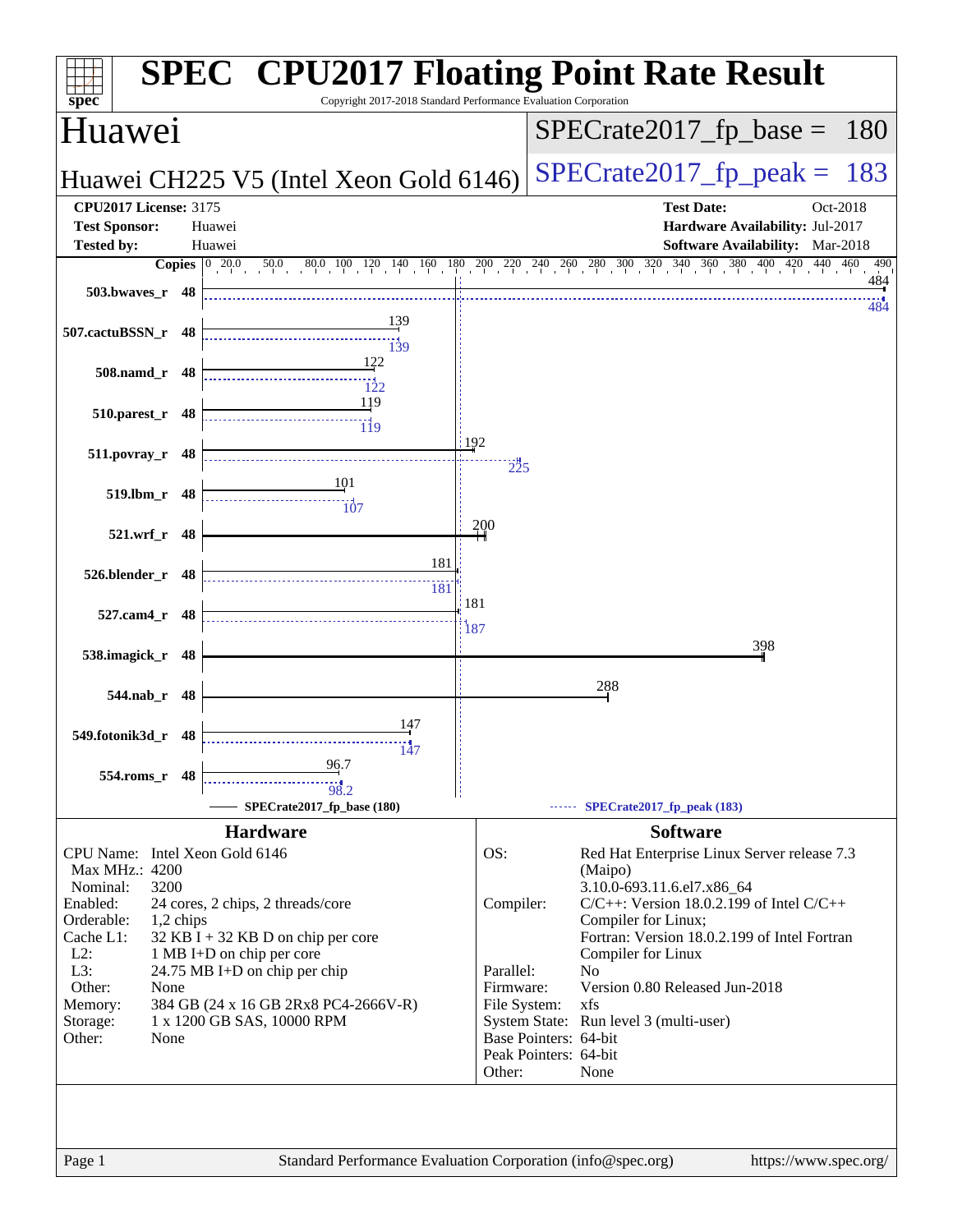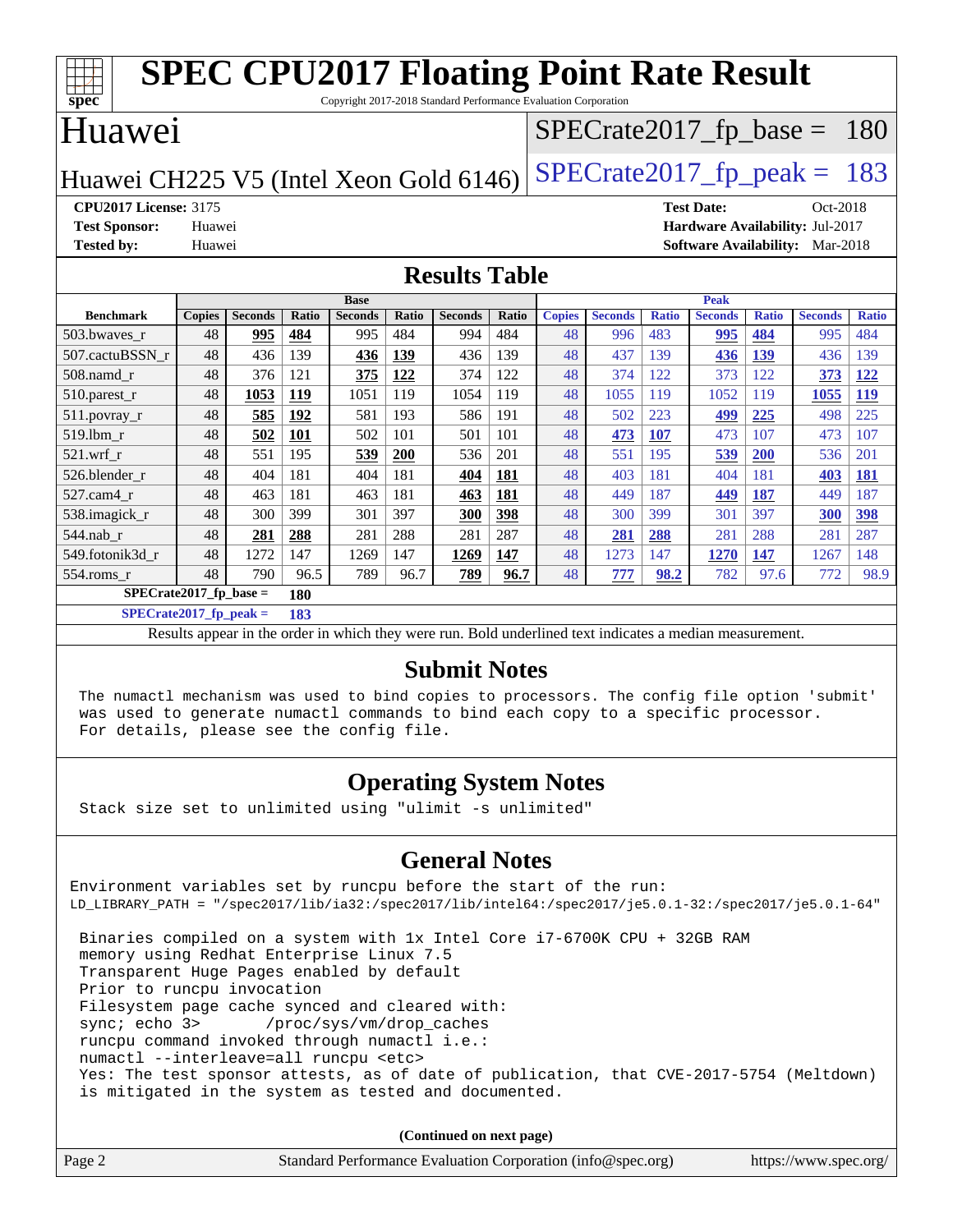| <b>SPEC CPU2017 Floating Point Rate Result</b><br>spec <sup>®</sup><br>Copyright 2017-2018 Standard Performance Evaluation Corporation |               |                |       |                |              |                |       |               |                |              |                                        |              |                |              |
|----------------------------------------------------------------------------------------------------------------------------------------|---------------|----------------|-------|----------------|--------------|----------------|-------|---------------|----------------|--------------|----------------------------------------|--------------|----------------|--------------|
| Huawei<br>$SPECrate2017_fp\_base = 180$                                                                                                |               |                |       |                |              |                |       |               |                |              |                                        |              |                |              |
| $SPECrate2017_fp\_peak = 183$<br>Huawei CH225 V5 (Intel Xeon Gold 6146)                                                                |               |                |       |                |              |                |       |               |                |              |                                        |              |                |              |
| <b>CPU2017 License: 3175</b>                                                                                                           |               |                |       |                |              |                |       |               |                |              | <b>Test Date:</b>                      |              | Oct-2018       |              |
| <b>Test Sponsor:</b>                                                                                                                   | Huawei        |                |       |                |              |                |       |               |                |              | Hardware Availability: Jul-2017        |              |                |              |
| <b>Tested by:</b>                                                                                                                      | Huawei        |                |       |                |              |                |       |               |                |              | <b>Software Availability:</b> Mar-2018 |              |                |              |
| <b>Results Table</b>                                                                                                                   |               |                |       |                |              |                |       |               |                |              |                                        |              |                |              |
|                                                                                                                                        |               |                |       | <b>Base</b>    |              |                |       |               |                |              | <b>Peak</b>                            |              |                |              |
| <b>Benchmark</b>                                                                                                                       | <b>Copies</b> | <b>Seconds</b> | Ratio | <b>Seconds</b> | <b>Ratio</b> | <b>Seconds</b> | Ratio | <b>Copies</b> | <b>Seconds</b> | <b>Ratio</b> | <b>Seconds</b>                         | <b>Ratio</b> | <b>Seconds</b> | <b>Ratio</b> |
| 503.bwaves_r                                                                                                                           | 48            | 995            | 484   | 995            | 484          | 994            | 484   | 48            | 996            | 483          | 995                                    | 484          | 995            | 484          |
| 507.cactuBSSN r                                                                                                                        | 48            | 436            | 139   | 436            | 139          | 436            | 139   | 48            | 437            | 139          | 436                                    | 139          | 436            | 139          |
| 508.namd_r                                                                                                                             | 48            | 376            | 121   | 375            | 122          | 374            | 122   | 48            | 374            | 122          | 373                                    | 122          | 373            | 122          |
| 510.parest_r                                                                                                                           | 48            | 1053           | 119   | 1051           | 119          | 1054           | 119   | 48            | 1055           | 119          | 1052                                   | 119          | 1055           | 119          |
| 511.povray_r                                                                                                                           | 48            | 585            | 192   | 581            | 193          | 586            | 191   | 48            | 502            | 223          | 499                                    | 225          | 498            | 225          |
| 519.1bm r                                                                                                                              | 48            | 502            | 101   | 502            | 101          | 501            | 101   | 48            | 473            | 107          | 473                                    | 107          | 473            | 107          |
| 521.wrf r                                                                                                                              | 48            | 551            | 195   | 539            | <b>200</b>   | 536            | 201   | 48            | 551            | 195          | 539                                    | <b>200</b>   | 536            | 201          |
| 526.blender r                                                                                                                          | 48            | 404            | 181   | 404            | 181          | 404            | 181   | 48            | 403            | 181          | 404                                    | 181          | 403            | 181          |
| 527.cam4 r                                                                                                                             | 48            | 463            | 181   | 463            | 181          | 463            | 181   | 48            | 449            | 187          | 449                                    | 187          | 449            | 187          |
| 538.imagick_r                                                                                                                          | 48            | 300            | 399   | 301            | 397          | 300            | 398   | 48            | 300            | 399          | 301                                    | 397          | 300            | 398          |
| 544.nab r                                                                                                                              | 48            | 281            | 288   | 281            | 288          | 281            | 287   | 48            | 281            | 288          | 281                                    | 288          | 281            | 287          |
| 549.fotonik3d r                                                                                                                        | 48            | 1272           | 147   | 1269           | 147          | 1269           | 147   | 48            | 1273           | 147          | 1270                                   | 147          | 1267           | 148          |
| $554$ .roms r                                                                                                                          | 48            | 790            | 96.5  | 789            | 96.7         | 789            | 96.7  | 48            | 777            | 98.2         | 782                                    | 97.6         | 772            | 98.9         |
| $SPECrate2017$ fp base =<br>180                                                                                                        |               |                |       |                |              |                |       |               |                |              |                                        |              |                |              |

**[SPECrate2017\\_fp\\_peak =](http://www.spec.org/auto/cpu2017/Docs/result-fields.html#SPECrate2017fppeak) 183**

Results appear in the [order in which they were run.](http://www.spec.org/auto/cpu2017/Docs/result-fields.html#RunOrder) Bold underlined text [indicates a median measurement.](http://www.spec.org/auto/cpu2017/Docs/result-fields.html#Median)

#### **[Submit Notes](http://www.spec.org/auto/cpu2017/Docs/result-fields.html#SubmitNotes)**

 The numactl mechanism was used to bind copies to processors. The config file option 'submit' was used to generate numactl commands to bind each copy to a specific processor. For details, please see the config file.

#### **[Operating System Notes](http://www.spec.org/auto/cpu2017/Docs/result-fields.html#OperatingSystemNotes)**

Stack size set to unlimited using "ulimit -s unlimited"

is mitigated in the system as tested and documented.

#### **[General Notes](http://www.spec.org/auto/cpu2017/Docs/result-fields.html#GeneralNotes)**

Environment variables set by runcpu before the start of the run: LD\_LIBRARY\_PATH = "/spec2017/lib/ia32:/spec2017/lib/intel64:/spec2017/je5.0.1-32:/spec2017/je5.0.1-64" Binaries compiled on a system with 1x Intel Core i7-6700K CPU + 32GB RAM memory using Redhat Enterprise Linux 7.5 Transparent Huge Pages enabled by default Prior to runcpu invocation Filesystem page cache synced and cleared with: sync; echo 3> /proc/sys/vm/drop\_caches runcpu command invoked through numactl i.e.: numactl --interleave=all runcpu <etc> Yes: The test sponsor attests, as of date of publication, that CVE-2017-5754 (Meltdown)

**(Continued on next page)**

| Page 2 | Standard Performance Evaluation Corporation (info@spec.org) | https://www.spec.org/ |
|--------|-------------------------------------------------------------|-----------------------|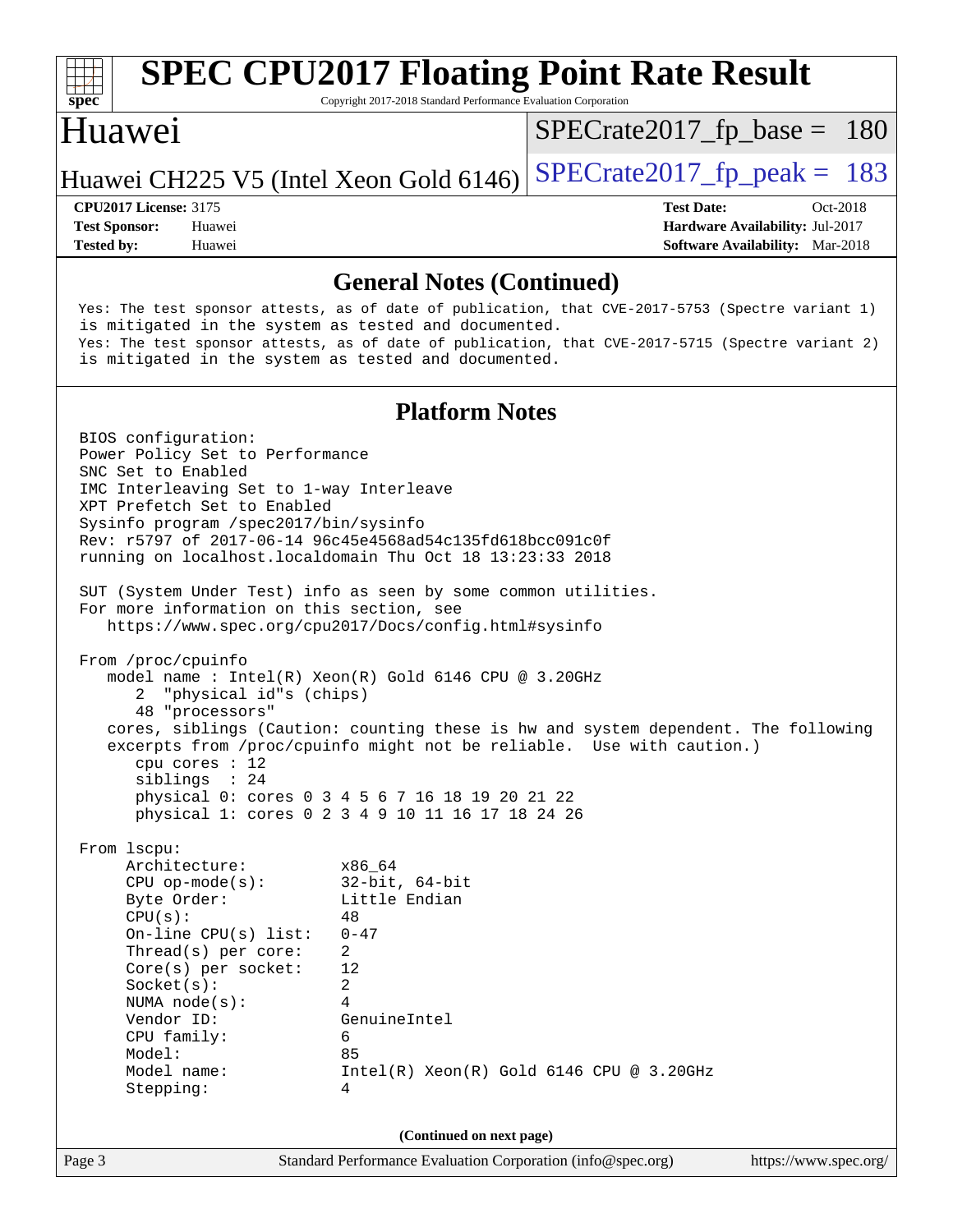

# **[SPEC CPU2017 Floating Point Rate Result](http://www.spec.org/auto/cpu2017/Docs/result-fields.html#SPECCPU2017FloatingPointRateResult)**

Copyright 2017-2018 Standard Performance Evaluation Corporation

#### Huawei

[SPECrate2017\\_fp\\_base =](http://www.spec.org/auto/cpu2017/Docs/result-fields.html#SPECrate2017fpbase) 180

#### Huawei CH225 V5 (Intel Xeon Gold 6146) SPECrate  $2017$  fp peak = 183

**[Tested by:](http://www.spec.org/auto/cpu2017/Docs/result-fields.html#Testedby)** Huawei **[Software Availability:](http://www.spec.org/auto/cpu2017/Docs/result-fields.html#SoftwareAvailability)** Mar-2018

**[CPU2017 License:](http://www.spec.org/auto/cpu2017/Docs/result-fields.html#CPU2017License)** 3175 **[Test Date:](http://www.spec.org/auto/cpu2017/Docs/result-fields.html#TestDate)** Oct-2018 **[Test Sponsor:](http://www.spec.org/auto/cpu2017/Docs/result-fields.html#TestSponsor)** Huawei **[Hardware Availability:](http://www.spec.org/auto/cpu2017/Docs/result-fields.html#HardwareAvailability)** Jul-2017

#### **[General Notes \(Continued\)](http://www.spec.org/auto/cpu2017/Docs/result-fields.html#GeneralNotes)**

 Yes: The test sponsor attests, as of date of publication, that CVE-2017-5753 (Spectre variant 1) is mitigated in the system as tested and documented. Yes: The test sponsor attests, as of date of publication, that CVE-2017-5715 (Spectre variant 2) is mitigated in the system as tested and documented. **[Platform Notes](http://www.spec.org/auto/cpu2017/Docs/result-fields.html#PlatformNotes)** BIOS configuration: Power Policy Set to Performance SNC Set to Enabled IMC Interleaving Set to 1-way Interleave XPT Prefetch Set to Enabled Sysinfo program /spec2017/bin/sysinfo Rev: r5797 of 2017-06-14 96c45e4568ad54c135fd618bcc091c0f running on localhost.localdomain Thu Oct 18 13:23:33 2018 SUT (System Under Test) info as seen by some common utilities. For more information on this section, see <https://www.spec.org/cpu2017/Docs/config.html#sysinfo> From /proc/cpuinfo model name : Intel(R) Xeon(R) Gold 6146 CPU @ 3.20GHz 2 "physical id"s (chips) 48 "processors" cores, siblings (Caution: counting these is hw and system dependent. The following excerpts from /proc/cpuinfo might not be reliable. Use with caution.) cpu cores : 12 siblings : 24 physical 0: cores 0 3 4 5 6 7 16 18 19 20 21 22 physical 1: cores 0 2 3 4 9 10 11 16 17 18 24 26

 From lscpu: Architecture: x86\_64 CPU op-mode(s): 32-bit, 64-bit Byte Order: Little Endian  $CPU(s):$  48 On-line CPU(s) list: 0-47 Thread(s) per core: 2 Core(s) per socket: 12 Socket(s): 2 NUMA node(s): 4 Vendor ID: GenuineIntel CPU family: 6 Model: 85 Model name: Intel(R) Xeon(R) Gold 6146 CPU @ 3.20GHz Stepping: 4

**(Continued on next page)**

Page 3 Standard Performance Evaluation Corporation [\(info@spec.org\)](mailto:info@spec.org) <https://www.spec.org/>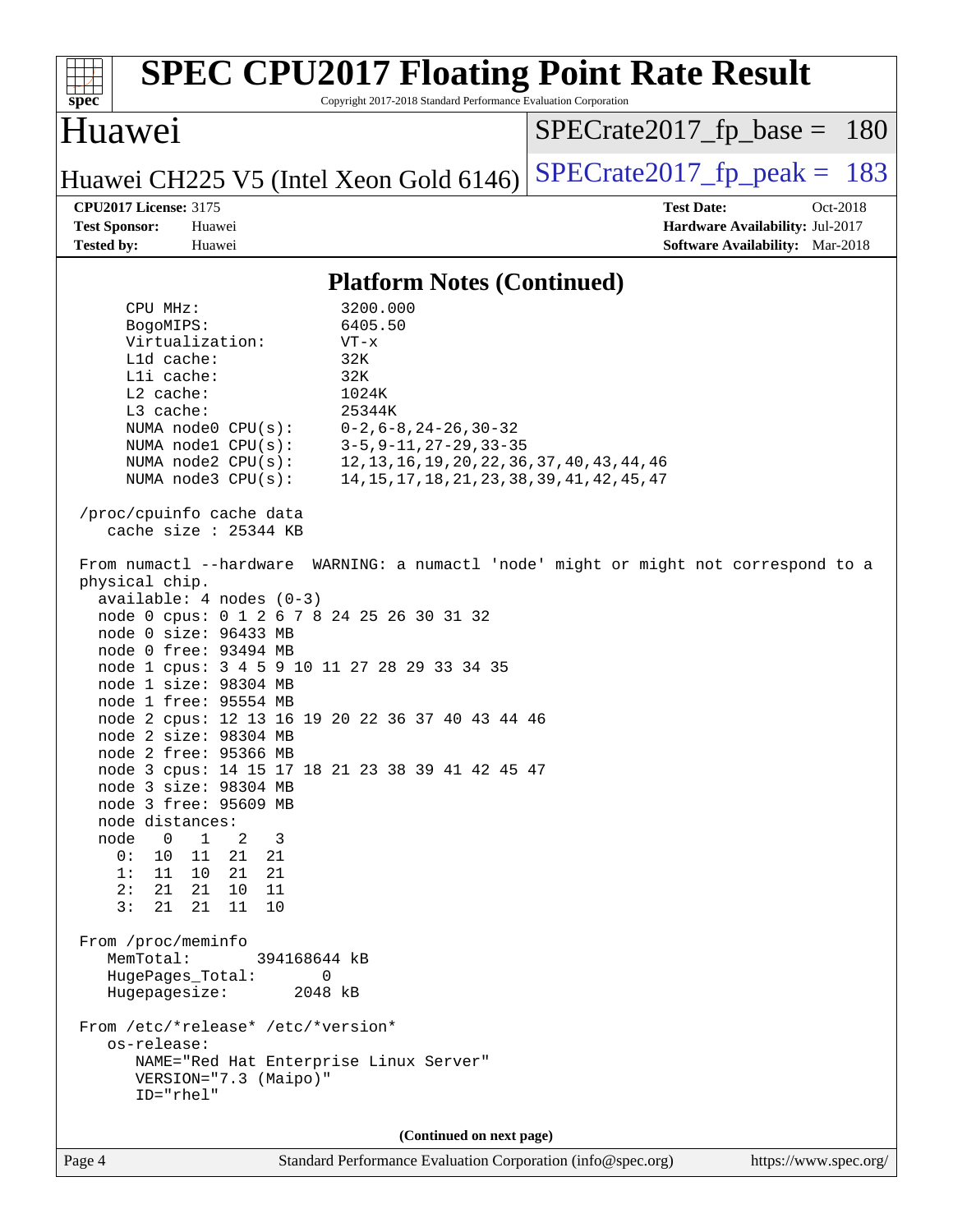| <b>SPEC CPU2017 Floating Point Rate Result</b><br>Copyright 2017-2018 Standard Performance Evaluation Corporation<br>spec <sup>®</sup>                                                                                                                                                                                                                                                                                                                                                                                                                                                                                                                                                                                                                                                                                                                                                                                                                                                                                      |                                                                                                            |
|-----------------------------------------------------------------------------------------------------------------------------------------------------------------------------------------------------------------------------------------------------------------------------------------------------------------------------------------------------------------------------------------------------------------------------------------------------------------------------------------------------------------------------------------------------------------------------------------------------------------------------------------------------------------------------------------------------------------------------------------------------------------------------------------------------------------------------------------------------------------------------------------------------------------------------------------------------------------------------------------------------------------------------|------------------------------------------------------------------------------------------------------------|
| Huawei                                                                                                                                                                                                                                                                                                                                                                                                                                                                                                                                                                                                                                                                                                                                                                                                                                                                                                                                                                                                                      | $SPECrate2017_fp\_base = 180$                                                                              |
| Huawei CH225 V5 (Intel Xeon Gold 6146)                                                                                                                                                                                                                                                                                                                                                                                                                                                                                                                                                                                                                                                                                                                                                                                                                                                                                                                                                                                      | $SPECrate2017fp peak = 183$                                                                                |
| <b>CPU2017 License: 3175</b><br><b>Test Sponsor:</b><br>Huawei<br><b>Tested by:</b><br>Huawei                                                                                                                                                                                                                                                                                                                                                                                                                                                                                                                                                                                                                                                                                                                                                                                                                                                                                                                               | <b>Test Date:</b><br>Oct-2018<br>Hardware Availability: Jul-2017<br><b>Software Availability:</b> Mar-2018 |
| <b>Platform Notes (Continued)</b>                                                                                                                                                                                                                                                                                                                                                                                                                                                                                                                                                                                                                                                                                                                                                                                                                                                                                                                                                                                           |                                                                                                            |
| 3200.000<br>CPU MHz:<br>6405.50<br>BogoMIPS:<br>Virtualization:<br>$VT - x$<br>L1d cache:<br>32K<br>Lli cache:<br>32K<br>$L2$ cache:<br>1024K<br>L3 cache:<br>25344K<br>NUMA node0 CPU(s):<br>$0 - 2$ , $6 - 8$ , $24 - 26$ , $30 - 32$<br>$3 - 5, 9 - 11, 27 - 29, 33 - 35$<br>NUMA nodel $CPU(s):$<br>12, 13, 16, 19, 20, 22, 36, 37, 40, 43, 44, 46<br>NUMA $node2$ $CPU(s):$<br>NUMA node3 CPU(s):<br>14, 15, 17, 18, 21, 23, 38, 39, 41, 42, 45, 47<br>/proc/cpuinfo cache data                                                                                                                                                                                                                                                                                                                                                                                                                                                                                                                                        |                                                                                                            |
| cache size $: 25344$ KB<br>From numactl --hardware WARNING: a numactl 'node' might or might not correspond to a<br>physical chip.<br>$available: 4 nodes (0-3)$<br>node 0 cpus: 0 1 2 6 7 8 24 25 26 30 31 32<br>node 0 size: 96433 MB<br>node 0 free: 93494 MB<br>node 1 cpus: 3 4 5 9 10 11 27 28 29 33 34 35<br>node 1 size: 98304 MB<br>node 1 free: 95554 MB<br>node 2 cpus: 12 13 16 19 20 22 36 37 40 43 44 46<br>node 2 size: 98304 MB<br>node 2 free: 95366 MB<br>node 3 cpus: 14 15 17 18 21 23 38 39 41 42 45 47<br>node 3 size: 98304 MB<br>node 3 free: 95609 MB<br>node distances:<br>node<br>$\overline{\phantom{0}}$<br>$\mathbf{1}$<br>2<br>3<br>0 :<br>10<br>11<br>21 21<br>1:<br>11<br>10 21 21<br>2:<br>21<br>21<br>10<br>11<br>3:<br>21<br>21<br>11<br>10<br>From /proc/meminfo<br>MemTotal:<br>394168644 kB<br>HugePages_Total:<br>0<br>Hugepagesize:<br>2048 kB<br>From /etc/*release* /etc/*version*<br>os-release:<br>NAME="Red Hat Enterprise Linux Server"<br>VERSION="7.3 (Maipo)"<br>ID="rhel" |                                                                                                            |
| (Continued on next page)                                                                                                                                                                                                                                                                                                                                                                                                                                                                                                                                                                                                                                                                                                                                                                                                                                                                                                                                                                                                    |                                                                                                            |
| Standard Performance Evaluation Corporation (info@spec.org)<br>Page 4                                                                                                                                                                                                                                                                                                                                                                                                                                                                                                                                                                                                                                                                                                                                                                                                                                                                                                                                                       | https://www.spec.org/                                                                                      |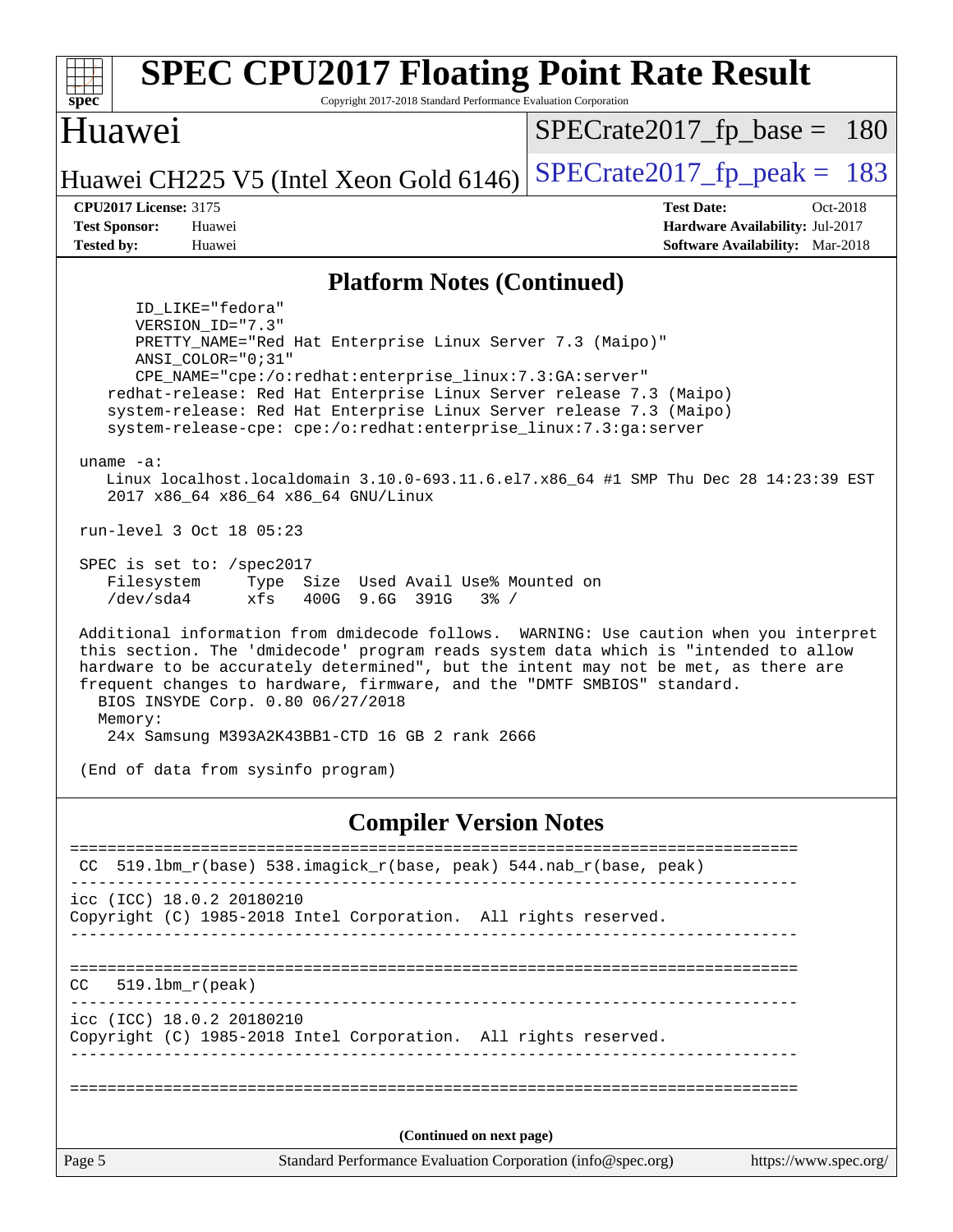| <b>SPEC CPU2017 Floating Point Rate Result</b>                                                                                                                                                                                                                                                                                                                                                                                                                                                               |                                                                  |
|--------------------------------------------------------------------------------------------------------------------------------------------------------------------------------------------------------------------------------------------------------------------------------------------------------------------------------------------------------------------------------------------------------------------------------------------------------------------------------------------------------------|------------------------------------------------------------------|
| spec<br>Copyright 2017-2018 Standard Performance Evaluation Corporation<br><b>Huawei</b>                                                                                                                                                                                                                                                                                                                                                                                                                     | $SPECrate2017_fp\_base = 180$                                    |
| Huawei CH225 V5 (Intel Xeon Gold 6146)                                                                                                                                                                                                                                                                                                                                                                                                                                                                       | $SPECrate2017_fp\_peak = 183$                                    |
| <b>CPU2017 License: 3175</b><br><b>Test Sponsor:</b><br>Huawei                                                                                                                                                                                                                                                                                                                                                                                                                                               | <b>Test Date:</b><br>Oct-2018<br>Hardware Availability: Jul-2017 |
| <b>Tested by:</b><br>Huawei                                                                                                                                                                                                                                                                                                                                                                                                                                                                                  | <b>Software Availability:</b> Mar-2018                           |
| <b>Platform Notes (Continued)</b>                                                                                                                                                                                                                                                                                                                                                                                                                                                                            |                                                                  |
| ID_LIKE="fedora"<br>VERSION_ID="7.3"<br>PRETTY_NAME="Red Hat Enterprise Linux Server 7.3 (Maipo)"<br>ANSI COLOR="0;31"<br>CPE_NAME="cpe:/o:redhat:enterprise_linux:7.3:GA:server"<br>redhat-release: Red Hat Enterprise Linux Server release 7.3 (Maipo)<br>system-release: Red Hat Enterprise Linux Server release 7.3 (Maipo)<br>system-release-cpe: cpe:/o:redhat:enterprise_linux:7.3:ga:server<br>uname $-a$ :<br>Linux localhost.localdomain 3.10.0-693.11.6.el7.x86_64 #1 SMP Thu Dec 28 14:23:39 EST |                                                                  |
| 2017 x86_64 x86_64 x86_64 GNU/Linux<br>run-level 3 Oct 18 05:23                                                                                                                                                                                                                                                                                                                                                                                                                                              |                                                                  |
| SPEC is set to: /spec2017<br>Filesystem<br>Type Size Used Avail Use% Mounted on<br>/dev/sda4<br>xfs<br>400G 9.6G 391G<br>$3\frac{6}{9}$ /                                                                                                                                                                                                                                                                                                                                                                    |                                                                  |
| Additional information from dmidecode follows. WARNING: Use caution when you interpret<br>this section. The 'dmidecode' program reads system data which is "intended to allow<br>hardware to be accurately determined", but the intent may not be met, as there are<br>frequent changes to hardware, firmware, and the "DMTF SMBIOS" standard.<br>BIOS INSYDE Corp. 0.80 06/27/2018<br>Memory:                                                                                                               |                                                                  |
| 24x Samsung M393A2K43BB1-CTD 16 GB 2 rank 2666                                                                                                                                                                                                                                                                                                                                                                                                                                                               |                                                                  |
| (End of data from sysinfo program)                                                                                                                                                                                                                                                                                                                                                                                                                                                                           |                                                                  |
| <b>Compiler Version Notes</b>                                                                                                                                                                                                                                                                                                                                                                                                                                                                                |                                                                  |
| $519.1$ bm_r(base) $538.imagick_r(base, peak)$ $544.nah_r(base, peak)$                                                                                                                                                                                                                                                                                                                                                                                                                                       |                                                                  |
| icc (ICC) 18.0.2 20180210<br>Copyright (C) 1985-2018 Intel Corporation. All rights reserved.                                                                                                                                                                                                                                                                                                                                                                                                                 |                                                                  |
| $519.1bm_r(peak)$<br>CC.<br>_ _ _ _ _ _ _ _ _ _ _ _ _ _                                                                                                                                                                                                                                                                                                                                                                                                                                                      |                                                                  |
| icc (ICC) 18.0.2 20180210<br>Copyright (C) 1985-2018 Intel Corporation. All rights reserved.                                                                                                                                                                                                                                                                                                                                                                                                                 |                                                                  |
| ==============================                                                                                                                                                                                                                                                                                                                                                                                                                                                                               |                                                                  |
| (Continued on next page)                                                                                                                                                                                                                                                                                                                                                                                                                                                                                     |                                                                  |
| Page 5<br>Standard Performance Evaluation Corporation (info@spec.org)                                                                                                                                                                                                                                                                                                                                                                                                                                        | https://www.spec.org/                                            |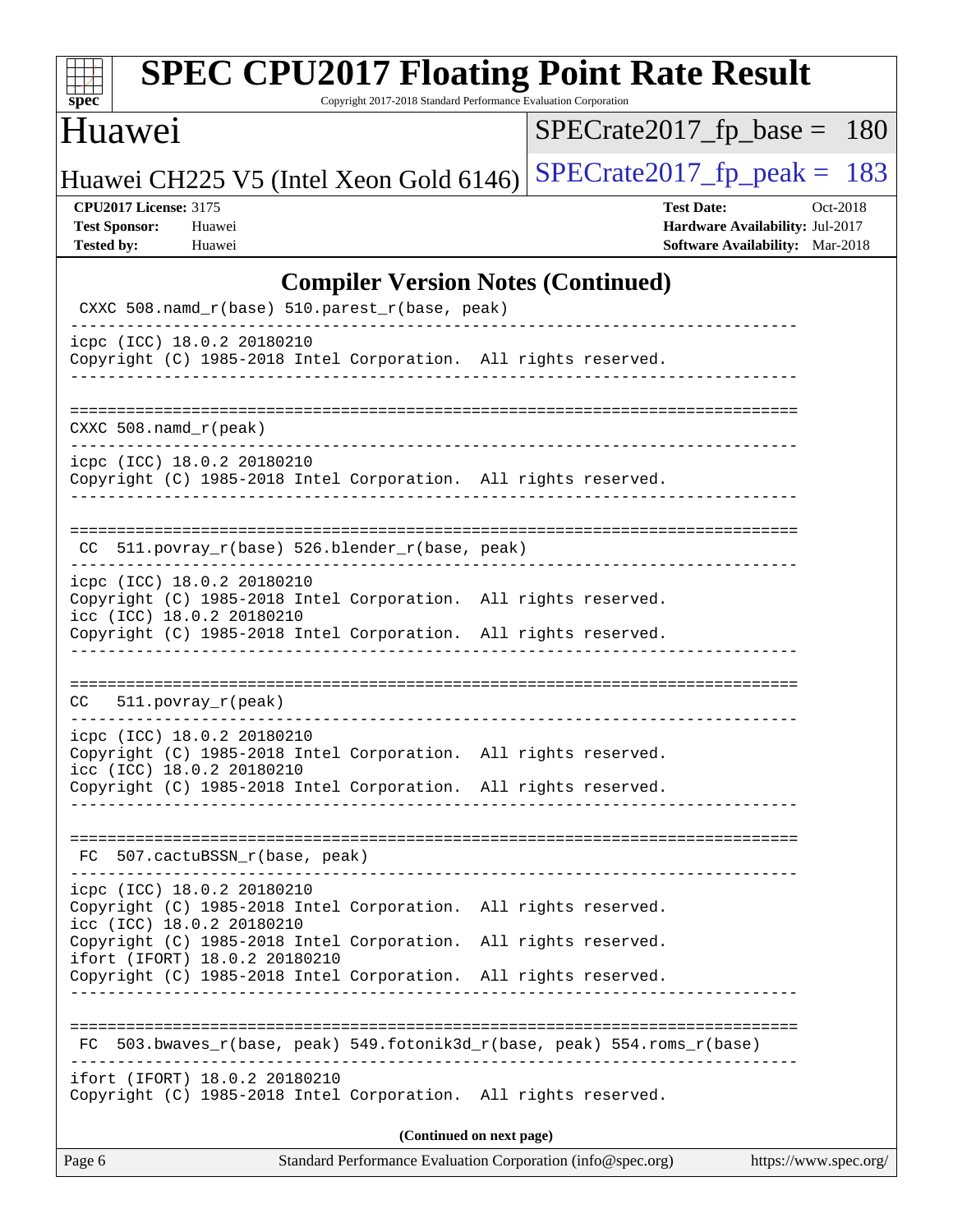| S<br>ne<br>I<br>Ľ |  |  |  |  |
|-------------------|--|--|--|--|

# **[SPEC CPU2017 Floating Point Rate Result](http://www.spec.org/auto/cpu2017/Docs/result-fields.html#SPECCPU2017FloatingPointRateResult)**

Copyright 2017-2018 Standard Performance Evaluation Corporation

## Huawei

[SPECrate2017\\_fp\\_base =](http://www.spec.org/auto/cpu2017/Docs/result-fields.html#SPECrate2017fpbase) 180

Huawei CH225 V5 (Intel Xeon Gold 6146) SPECrate  $2017$  fp peak = 183

#### **[CPU2017 License:](http://www.spec.org/auto/cpu2017/Docs/result-fields.html#CPU2017License)** 3175 **[Test Date:](http://www.spec.org/auto/cpu2017/Docs/result-fields.html#TestDate)** Oct-2018

**[Test Sponsor:](http://www.spec.org/auto/cpu2017/Docs/result-fields.html#TestSponsor)** Huawei **[Hardware Availability:](http://www.spec.org/auto/cpu2017/Docs/result-fields.html#HardwareAvailability)** Jul-2017 **[Tested by:](http://www.spec.org/auto/cpu2017/Docs/result-fields.html#Testedby)** Huawei **[Software Availability:](http://www.spec.org/auto/cpu2017/Docs/result-fields.html#SoftwareAvailability)** Mar-2018

#### **[Compiler Version Notes \(Continued\)](http://www.spec.org/auto/cpu2017/Docs/result-fields.html#CompilerVersionNotes)**

| Page 6<br>Standard Performance Evaluation Corporation (info@spec.org)                                                              | https://www.spec.org/ |
|------------------------------------------------------------------------------------------------------------------------------------|-----------------------|
| (Continued on next page)                                                                                                           |                       |
| ifort (IFORT) 18.0.2 20180210<br>Copyright (C) 1985-2018 Intel Corporation. All rights reserved.                                   |                       |
| 503.bwaves_r(base, peak) 549.fotonik3d_r(base, peak) 554.roms_r(base)<br>FC.                                                       |                       |
| Copyright (C) 1985-2018 Intel Corporation. All rights reserved.                                                                    |                       |
| Copyright (C) 1985-2018 Intel Corporation.<br>All rights reserved.<br>ifort (IFORT) 18.0.2 20180210                                |                       |
| icpc (ICC) 18.0.2 20180210<br>Copyright (C) 1985-2018 Intel Corporation. All rights reserved.<br>icc (ICC) 18.0.2 20180210         |                       |
| FC 507.cactuBSSN_r(base, peak)                                                                                                     |                       |
| icc (ICC) 18.0.2 20180210<br>Copyright (C) 1985-2018 Intel Corporation. All rights reserved.                                       |                       |
| icpc (ICC) 18.0.2 20180210<br>Copyright (C) 1985-2018 Intel Corporation. All rights reserved.                                      |                       |
| $CC = 511. povray_r (peak)$                                                                                                        |                       |
| Copyright (C) 1985-2018 Intel Corporation. All rights reserved.                                                                    |                       |
| icpc (ICC) 18.0.2 20180210<br>Copyright (C) 1985-2018 Intel Corporation. All rights reserved.<br>icc (ICC) 18.0.2 20180210         |                       |
| CC 511.povray_r(base) 526.blender_r(base, peak)                                                                                    |                       |
| icpc (ICC) 18.0.2 20180210<br>Copyright (C) 1985-2018 Intel Corporation. All rights reserved.<br>_________________________________ |                       |
| $CXXC 508.namd_r (peak)$                                                                                                           |                       |
| Copyright (C) 1985-2018 Intel Corporation. All rights reserved.<br>-----------------------------                                   |                       |
| icpc (ICC) 18.0.2 20180210                                                                                                         |                       |
| CXXC 508.namd_r(base) 510.parest_r(base, peak)                                                                                     |                       |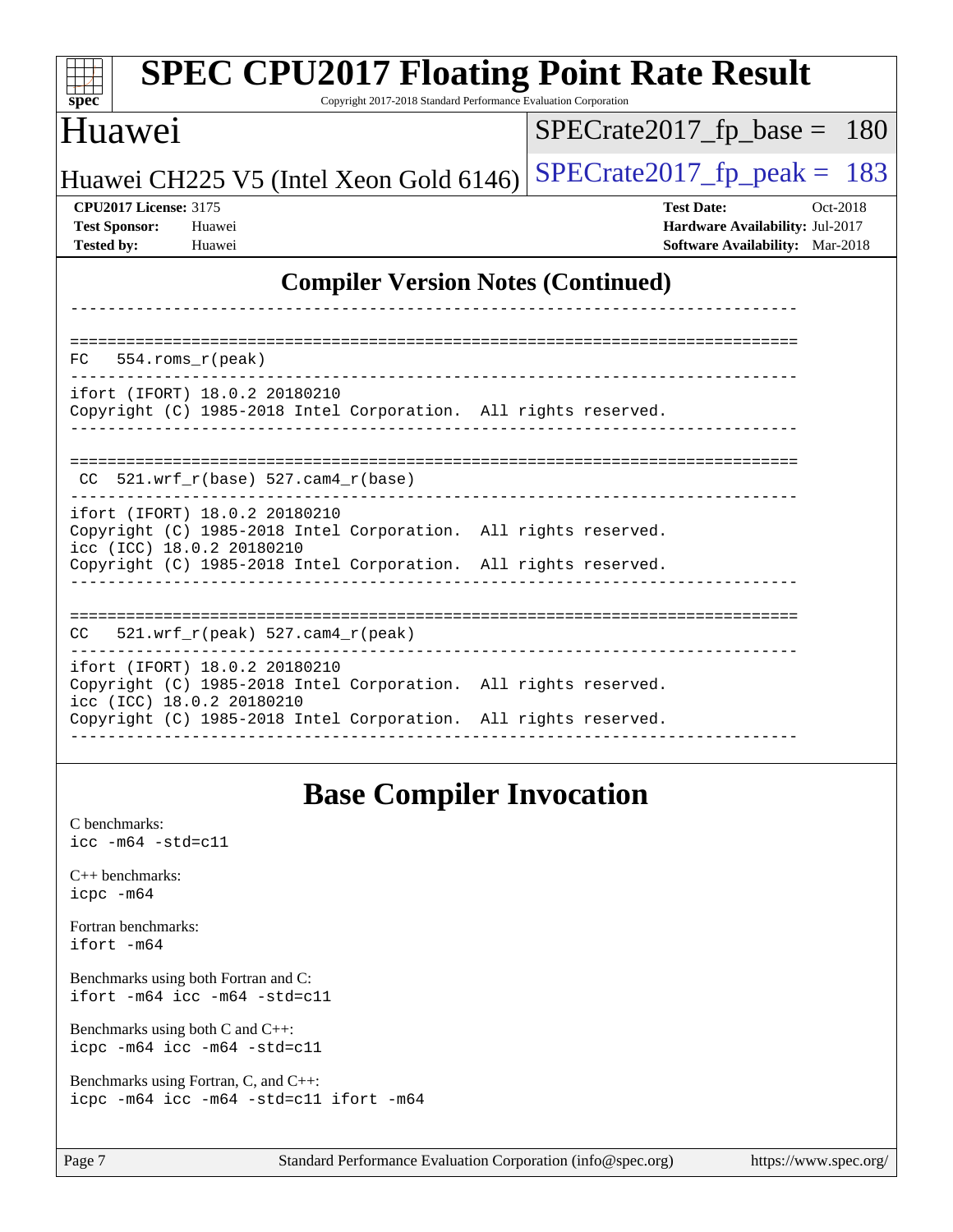| <b>SPEC CPU2017 Floating Point Rate Result</b><br>spec <sup>®</sup><br>Copyright 2017-2018 Standard Performance Evaluation Corporation                                                           |                                                                                                            |
|--------------------------------------------------------------------------------------------------------------------------------------------------------------------------------------------------|------------------------------------------------------------------------------------------------------------|
| Huawei                                                                                                                                                                                           | $SPECrate2017rfp base =$<br><b>180</b>                                                                     |
| Huawei CH225 V5 (Intel Xeon Gold 6146)                                                                                                                                                           | $SPECTate2017$ _fp_peak = 183                                                                              |
| <b>CPU2017 License: 3175</b><br><b>Test Sponsor:</b><br>Huawei<br>Tested by:<br>Huawei                                                                                                           | <b>Test Date:</b><br>Oct-2018<br><b>Hardware Availability: Jul-2017</b><br>Software Availability: Mar-2018 |
| <b>Compiler Version Notes (Continued)</b>                                                                                                                                                        |                                                                                                            |
| $554.rows_r (peak)$<br>FC                                                                                                                                                                        |                                                                                                            |
| ifort (IFORT) 18.0.2 20180210<br>Copyright (C) 1985-2018 Intel Corporation. All rights reserved.                                                                                                 |                                                                                                            |
| 521.wrf_r(base) 527.cam4_r(base)<br>CC.                                                                                                                                                          |                                                                                                            |
| ifort (IFORT) 18.0.2 20180210<br>Copyright (C) 1985-2018 Intel Corporation. All rights reserved.<br>icc (ICC) 18.0.2 20180210<br>Copyright (C) 1985-2018 Intel Corporation. All rights reserved. |                                                                                                            |
|                                                                                                                                                                                                  |                                                                                                            |
| 521.wrf_r(peak) 527.cam4_r(peak)<br>CC                                                                                                                                                           |                                                                                                            |
| ifort (IFORT) 18.0.2 20180210<br>Copyright (C) 1985-2018 Intel Corporation. All rights reserved.<br>icc (ICC) 18.0.2 20180210                                                                    |                                                                                                            |
| Copyright (C) 1985-2018 Intel Corporation. All rights reserved.                                                                                                                                  |                                                                                                            |
| <b>Base Compiler Invocation</b>                                                                                                                                                                  |                                                                                                            |
| C benchmarks:<br>$\text{icc}$ -m64 -std=c11                                                                                                                                                      |                                                                                                            |
| $C++$ benchmarks:                                                                                                                                                                                |                                                                                                            |

[Fortran benchmarks](http://www.spec.org/auto/cpu2017/Docs/result-fields.html#Fortranbenchmarks):

[icpc -m64](http://www.spec.org/cpu2017/results/res2018q4/cpu2017-20181018-09267.flags.html#user_CXXbase_intel_icpc_64bit_4ecb2543ae3f1412ef961e0650ca070fec7b7afdcd6ed48761b84423119d1bf6bdf5cad15b44d48e7256388bc77273b966e5eb805aefd121eb22e9299b2ec9d9)

[ifort -m64](http://www.spec.org/cpu2017/results/res2018q4/cpu2017-20181018-09267.flags.html#user_FCbase_intel_ifort_64bit_24f2bb282fbaeffd6157abe4f878425411749daecae9a33200eee2bee2fe76f3b89351d69a8130dd5949958ce389cf37ff59a95e7a40d588e8d3a57e0c3fd751)

[Benchmarks using both Fortran and C](http://www.spec.org/auto/cpu2017/Docs/result-fields.html#BenchmarksusingbothFortranandC): [ifort -m64](http://www.spec.org/cpu2017/results/res2018q4/cpu2017-20181018-09267.flags.html#user_CC_FCbase_intel_ifort_64bit_24f2bb282fbaeffd6157abe4f878425411749daecae9a33200eee2bee2fe76f3b89351d69a8130dd5949958ce389cf37ff59a95e7a40d588e8d3a57e0c3fd751) [icc -m64 -std=c11](http://www.spec.org/cpu2017/results/res2018q4/cpu2017-20181018-09267.flags.html#user_CC_FCbase_intel_icc_64bit_c11_33ee0cdaae7deeeab2a9725423ba97205ce30f63b9926c2519791662299b76a0318f32ddfffdc46587804de3178b4f9328c46fa7c2b0cd779d7a61945c91cd35)

[Benchmarks using both C and C++](http://www.spec.org/auto/cpu2017/Docs/result-fields.html#BenchmarksusingbothCandCXX): [icpc -m64](http://www.spec.org/cpu2017/results/res2018q4/cpu2017-20181018-09267.flags.html#user_CC_CXXbase_intel_icpc_64bit_4ecb2543ae3f1412ef961e0650ca070fec7b7afdcd6ed48761b84423119d1bf6bdf5cad15b44d48e7256388bc77273b966e5eb805aefd121eb22e9299b2ec9d9) [icc -m64 -std=c11](http://www.spec.org/cpu2017/results/res2018q4/cpu2017-20181018-09267.flags.html#user_CC_CXXbase_intel_icc_64bit_c11_33ee0cdaae7deeeab2a9725423ba97205ce30f63b9926c2519791662299b76a0318f32ddfffdc46587804de3178b4f9328c46fa7c2b0cd779d7a61945c91cd35)

[Benchmarks using Fortran, C, and C++:](http://www.spec.org/auto/cpu2017/Docs/result-fields.html#BenchmarksusingFortranCandCXX) [icpc -m64](http://www.spec.org/cpu2017/results/res2018q4/cpu2017-20181018-09267.flags.html#user_CC_CXX_FCbase_intel_icpc_64bit_4ecb2543ae3f1412ef961e0650ca070fec7b7afdcd6ed48761b84423119d1bf6bdf5cad15b44d48e7256388bc77273b966e5eb805aefd121eb22e9299b2ec9d9) [icc -m64 -std=c11](http://www.spec.org/cpu2017/results/res2018q4/cpu2017-20181018-09267.flags.html#user_CC_CXX_FCbase_intel_icc_64bit_c11_33ee0cdaae7deeeab2a9725423ba97205ce30f63b9926c2519791662299b76a0318f32ddfffdc46587804de3178b4f9328c46fa7c2b0cd779d7a61945c91cd35) [ifort -m64](http://www.spec.org/cpu2017/results/res2018q4/cpu2017-20181018-09267.flags.html#user_CC_CXX_FCbase_intel_ifort_64bit_24f2bb282fbaeffd6157abe4f878425411749daecae9a33200eee2bee2fe76f3b89351d69a8130dd5949958ce389cf37ff59a95e7a40d588e8d3a57e0c3fd751)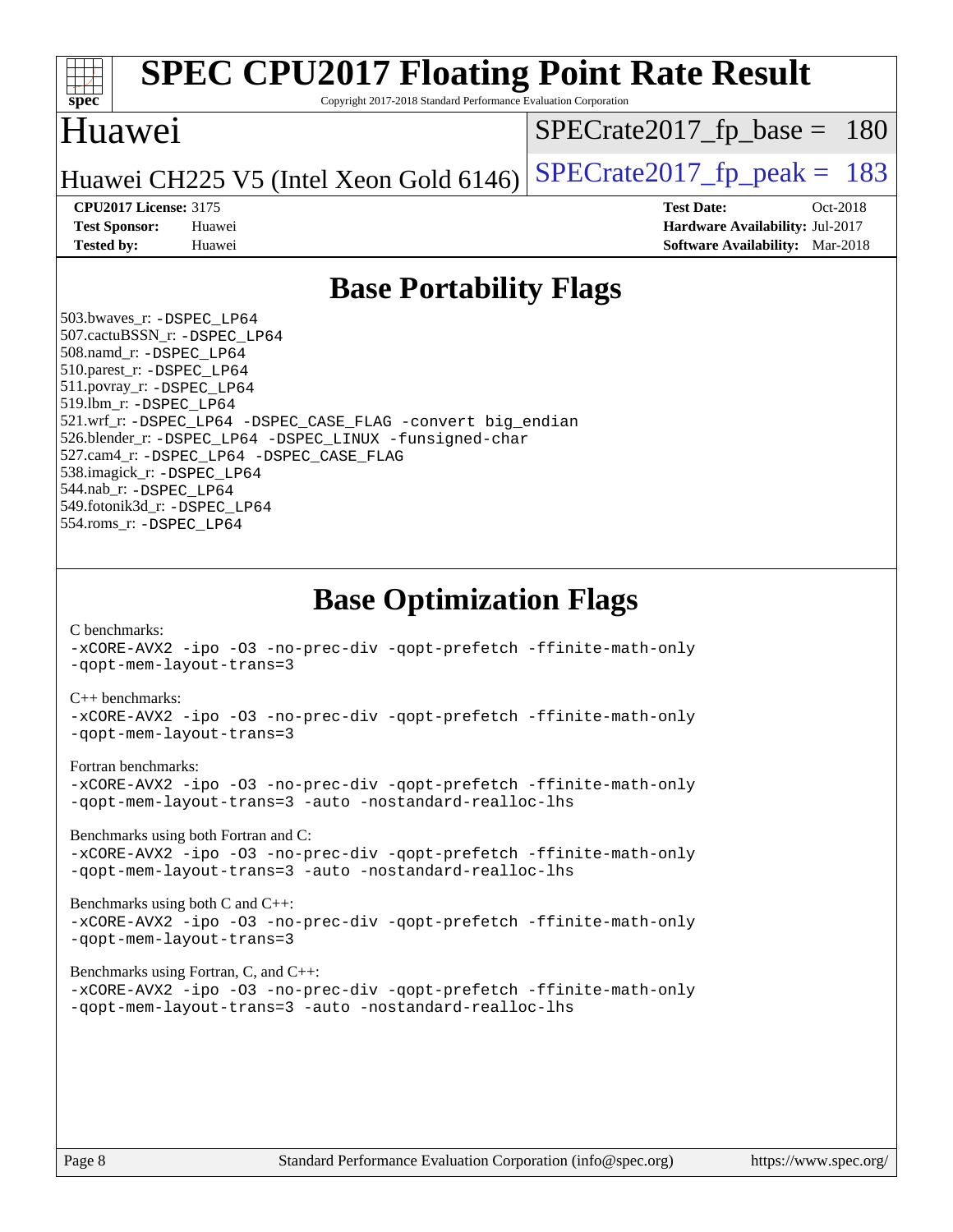

# **[SPEC CPU2017 Floating Point Rate Result](http://www.spec.org/auto/cpu2017/Docs/result-fields.html#SPECCPU2017FloatingPointRateResult)**

Copyright 2017-2018 Standard Performance Evaluation Corporation

### Huawei

[SPECrate2017\\_fp\\_base =](http://www.spec.org/auto/cpu2017/Docs/result-fields.html#SPECrate2017fpbase) 180

Huawei CH225 V5 (Intel Xeon Gold 6146) SPECrate  $2017$  fp peak = 183

**[CPU2017 License:](http://www.spec.org/auto/cpu2017/Docs/result-fields.html#CPU2017License)** 3175 **[Test Date:](http://www.spec.org/auto/cpu2017/Docs/result-fields.html#TestDate)** Oct-2018 **[Test Sponsor:](http://www.spec.org/auto/cpu2017/Docs/result-fields.html#TestSponsor)** Huawei **[Hardware Availability:](http://www.spec.org/auto/cpu2017/Docs/result-fields.html#HardwareAvailability)** Jul-2017 **[Tested by:](http://www.spec.org/auto/cpu2017/Docs/result-fields.html#Testedby)** Huawei **[Software Availability:](http://www.spec.org/auto/cpu2017/Docs/result-fields.html#SoftwareAvailability)** Mar-2018

## **[Base Portability Flags](http://www.spec.org/auto/cpu2017/Docs/result-fields.html#BasePortabilityFlags)**

 503.bwaves\_r: [-DSPEC\\_LP64](http://www.spec.org/cpu2017/results/res2018q4/cpu2017-20181018-09267.flags.html#suite_basePORTABILITY503_bwaves_r_DSPEC_LP64) 507.cactuBSSN\_r: [-DSPEC\\_LP64](http://www.spec.org/cpu2017/results/res2018q4/cpu2017-20181018-09267.flags.html#suite_basePORTABILITY507_cactuBSSN_r_DSPEC_LP64) 508.namd\_r: [-DSPEC\\_LP64](http://www.spec.org/cpu2017/results/res2018q4/cpu2017-20181018-09267.flags.html#suite_basePORTABILITY508_namd_r_DSPEC_LP64) 510.parest\_r: [-DSPEC\\_LP64](http://www.spec.org/cpu2017/results/res2018q4/cpu2017-20181018-09267.flags.html#suite_basePORTABILITY510_parest_r_DSPEC_LP64) 511.povray\_r: [-DSPEC\\_LP64](http://www.spec.org/cpu2017/results/res2018q4/cpu2017-20181018-09267.flags.html#suite_basePORTABILITY511_povray_r_DSPEC_LP64) 519.lbm\_r: [-DSPEC\\_LP64](http://www.spec.org/cpu2017/results/res2018q4/cpu2017-20181018-09267.flags.html#suite_basePORTABILITY519_lbm_r_DSPEC_LP64) 521.wrf\_r: [-DSPEC\\_LP64](http://www.spec.org/cpu2017/results/res2018q4/cpu2017-20181018-09267.flags.html#suite_basePORTABILITY521_wrf_r_DSPEC_LP64) [-DSPEC\\_CASE\\_FLAG](http://www.spec.org/cpu2017/results/res2018q4/cpu2017-20181018-09267.flags.html#b521.wrf_r_baseCPORTABILITY_DSPEC_CASE_FLAG) [-convert big\\_endian](http://www.spec.org/cpu2017/results/res2018q4/cpu2017-20181018-09267.flags.html#user_baseFPORTABILITY521_wrf_r_convert_big_endian_c3194028bc08c63ac5d04de18c48ce6d347e4e562e8892b8bdbdc0214820426deb8554edfa529a3fb25a586e65a3d812c835984020483e7e73212c4d31a38223) 526.blender\_r: [-DSPEC\\_LP64](http://www.spec.org/cpu2017/results/res2018q4/cpu2017-20181018-09267.flags.html#suite_basePORTABILITY526_blender_r_DSPEC_LP64) [-DSPEC\\_LINUX](http://www.spec.org/cpu2017/results/res2018q4/cpu2017-20181018-09267.flags.html#b526.blender_r_baseCPORTABILITY_DSPEC_LINUX) [-funsigned-char](http://www.spec.org/cpu2017/results/res2018q4/cpu2017-20181018-09267.flags.html#user_baseCPORTABILITY526_blender_r_force_uchar_40c60f00ab013830e2dd6774aeded3ff59883ba5a1fc5fc14077f794d777847726e2a5858cbc7672e36e1b067e7e5c1d9a74f7176df07886a243d7cc18edfe67) 527.cam4\_r: [-DSPEC\\_LP64](http://www.spec.org/cpu2017/results/res2018q4/cpu2017-20181018-09267.flags.html#suite_basePORTABILITY527_cam4_r_DSPEC_LP64) [-DSPEC\\_CASE\\_FLAG](http://www.spec.org/cpu2017/results/res2018q4/cpu2017-20181018-09267.flags.html#b527.cam4_r_baseCPORTABILITY_DSPEC_CASE_FLAG) 538.imagick\_r: [-DSPEC\\_LP64](http://www.spec.org/cpu2017/results/res2018q4/cpu2017-20181018-09267.flags.html#suite_basePORTABILITY538_imagick_r_DSPEC_LP64) 544.nab\_r: [-DSPEC\\_LP64](http://www.spec.org/cpu2017/results/res2018q4/cpu2017-20181018-09267.flags.html#suite_basePORTABILITY544_nab_r_DSPEC_LP64) 549.fotonik3d\_r: [-DSPEC\\_LP64](http://www.spec.org/cpu2017/results/res2018q4/cpu2017-20181018-09267.flags.html#suite_basePORTABILITY549_fotonik3d_r_DSPEC_LP64) 554.roms\_r: [-DSPEC\\_LP64](http://www.spec.org/cpu2017/results/res2018q4/cpu2017-20181018-09267.flags.html#suite_basePORTABILITY554_roms_r_DSPEC_LP64)

**[Base Optimization Flags](http://www.spec.org/auto/cpu2017/Docs/result-fields.html#BaseOptimizationFlags)**

[C benchmarks](http://www.spec.org/auto/cpu2017/Docs/result-fields.html#Cbenchmarks):

[-xCORE-AVX2](http://www.spec.org/cpu2017/results/res2018q4/cpu2017-20181018-09267.flags.html#user_CCbase_f-xCORE-AVX2) [-ipo](http://www.spec.org/cpu2017/results/res2018q4/cpu2017-20181018-09267.flags.html#user_CCbase_f-ipo) [-O3](http://www.spec.org/cpu2017/results/res2018q4/cpu2017-20181018-09267.flags.html#user_CCbase_f-O3) [-no-prec-div](http://www.spec.org/cpu2017/results/res2018q4/cpu2017-20181018-09267.flags.html#user_CCbase_f-no-prec-div) [-qopt-prefetch](http://www.spec.org/cpu2017/results/res2018q4/cpu2017-20181018-09267.flags.html#user_CCbase_f-qopt-prefetch) [-ffinite-math-only](http://www.spec.org/cpu2017/results/res2018q4/cpu2017-20181018-09267.flags.html#user_CCbase_f_finite_math_only_cb91587bd2077682c4b38af759c288ed7c732db004271a9512da14a4f8007909a5f1427ecbf1a0fb78ff2a814402c6114ac565ca162485bbcae155b5e4258871) [-qopt-mem-layout-trans=3](http://www.spec.org/cpu2017/results/res2018q4/cpu2017-20181018-09267.flags.html#user_CCbase_f-qopt-mem-layout-trans_de80db37974c74b1f0e20d883f0b675c88c3b01e9d123adea9b28688d64333345fb62bc4a798493513fdb68f60282f9a726aa07f478b2f7113531aecce732043)

#### [C++ benchmarks:](http://www.spec.org/auto/cpu2017/Docs/result-fields.html#CXXbenchmarks)

[-xCORE-AVX2](http://www.spec.org/cpu2017/results/res2018q4/cpu2017-20181018-09267.flags.html#user_CXXbase_f-xCORE-AVX2) [-ipo](http://www.spec.org/cpu2017/results/res2018q4/cpu2017-20181018-09267.flags.html#user_CXXbase_f-ipo) [-O3](http://www.spec.org/cpu2017/results/res2018q4/cpu2017-20181018-09267.flags.html#user_CXXbase_f-O3) [-no-prec-div](http://www.spec.org/cpu2017/results/res2018q4/cpu2017-20181018-09267.flags.html#user_CXXbase_f-no-prec-div) [-qopt-prefetch](http://www.spec.org/cpu2017/results/res2018q4/cpu2017-20181018-09267.flags.html#user_CXXbase_f-qopt-prefetch) [-ffinite-math-only](http://www.spec.org/cpu2017/results/res2018q4/cpu2017-20181018-09267.flags.html#user_CXXbase_f_finite_math_only_cb91587bd2077682c4b38af759c288ed7c732db004271a9512da14a4f8007909a5f1427ecbf1a0fb78ff2a814402c6114ac565ca162485bbcae155b5e4258871) [-qopt-mem-layout-trans=3](http://www.spec.org/cpu2017/results/res2018q4/cpu2017-20181018-09267.flags.html#user_CXXbase_f-qopt-mem-layout-trans_de80db37974c74b1f0e20d883f0b675c88c3b01e9d123adea9b28688d64333345fb62bc4a798493513fdb68f60282f9a726aa07f478b2f7113531aecce732043)

#### [Fortran benchmarks](http://www.spec.org/auto/cpu2017/Docs/result-fields.html#Fortranbenchmarks):

[-xCORE-AVX2](http://www.spec.org/cpu2017/results/res2018q4/cpu2017-20181018-09267.flags.html#user_FCbase_f-xCORE-AVX2) [-ipo](http://www.spec.org/cpu2017/results/res2018q4/cpu2017-20181018-09267.flags.html#user_FCbase_f-ipo) [-O3](http://www.spec.org/cpu2017/results/res2018q4/cpu2017-20181018-09267.flags.html#user_FCbase_f-O3) [-no-prec-div](http://www.spec.org/cpu2017/results/res2018q4/cpu2017-20181018-09267.flags.html#user_FCbase_f-no-prec-div) [-qopt-prefetch](http://www.spec.org/cpu2017/results/res2018q4/cpu2017-20181018-09267.flags.html#user_FCbase_f-qopt-prefetch) [-ffinite-math-only](http://www.spec.org/cpu2017/results/res2018q4/cpu2017-20181018-09267.flags.html#user_FCbase_f_finite_math_only_cb91587bd2077682c4b38af759c288ed7c732db004271a9512da14a4f8007909a5f1427ecbf1a0fb78ff2a814402c6114ac565ca162485bbcae155b5e4258871) [-qopt-mem-layout-trans=3](http://www.spec.org/cpu2017/results/res2018q4/cpu2017-20181018-09267.flags.html#user_FCbase_f-qopt-mem-layout-trans_de80db37974c74b1f0e20d883f0b675c88c3b01e9d123adea9b28688d64333345fb62bc4a798493513fdb68f60282f9a726aa07f478b2f7113531aecce732043) [-auto](http://www.spec.org/cpu2017/results/res2018q4/cpu2017-20181018-09267.flags.html#user_FCbase_f-auto) [-nostandard-realloc-lhs](http://www.spec.org/cpu2017/results/res2018q4/cpu2017-20181018-09267.flags.html#user_FCbase_f_2003_std_realloc_82b4557e90729c0f113870c07e44d33d6f5a304b4f63d4c15d2d0f1fab99f5daaed73bdb9275d9ae411527f28b936061aa8b9c8f2d63842963b95c9dd6426b8a)

[Benchmarks using both Fortran and C](http://www.spec.org/auto/cpu2017/Docs/result-fields.html#BenchmarksusingbothFortranandC):

[-xCORE-AVX2](http://www.spec.org/cpu2017/results/res2018q4/cpu2017-20181018-09267.flags.html#user_CC_FCbase_f-xCORE-AVX2) [-ipo](http://www.spec.org/cpu2017/results/res2018q4/cpu2017-20181018-09267.flags.html#user_CC_FCbase_f-ipo) [-O3](http://www.spec.org/cpu2017/results/res2018q4/cpu2017-20181018-09267.flags.html#user_CC_FCbase_f-O3) [-no-prec-div](http://www.spec.org/cpu2017/results/res2018q4/cpu2017-20181018-09267.flags.html#user_CC_FCbase_f-no-prec-div) [-qopt-prefetch](http://www.spec.org/cpu2017/results/res2018q4/cpu2017-20181018-09267.flags.html#user_CC_FCbase_f-qopt-prefetch) [-ffinite-math-only](http://www.spec.org/cpu2017/results/res2018q4/cpu2017-20181018-09267.flags.html#user_CC_FCbase_f_finite_math_only_cb91587bd2077682c4b38af759c288ed7c732db004271a9512da14a4f8007909a5f1427ecbf1a0fb78ff2a814402c6114ac565ca162485bbcae155b5e4258871) [-qopt-mem-layout-trans=3](http://www.spec.org/cpu2017/results/res2018q4/cpu2017-20181018-09267.flags.html#user_CC_FCbase_f-qopt-mem-layout-trans_de80db37974c74b1f0e20d883f0b675c88c3b01e9d123adea9b28688d64333345fb62bc4a798493513fdb68f60282f9a726aa07f478b2f7113531aecce732043) [-auto](http://www.spec.org/cpu2017/results/res2018q4/cpu2017-20181018-09267.flags.html#user_CC_FCbase_f-auto) [-nostandard-realloc-lhs](http://www.spec.org/cpu2017/results/res2018q4/cpu2017-20181018-09267.flags.html#user_CC_FCbase_f_2003_std_realloc_82b4557e90729c0f113870c07e44d33d6f5a304b4f63d4c15d2d0f1fab99f5daaed73bdb9275d9ae411527f28b936061aa8b9c8f2d63842963b95c9dd6426b8a)

[Benchmarks using both C and C++](http://www.spec.org/auto/cpu2017/Docs/result-fields.html#BenchmarksusingbothCandCXX): [-xCORE-AVX2](http://www.spec.org/cpu2017/results/res2018q4/cpu2017-20181018-09267.flags.html#user_CC_CXXbase_f-xCORE-AVX2) [-ipo](http://www.spec.org/cpu2017/results/res2018q4/cpu2017-20181018-09267.flags.html#user_CC_CXXbase_f-ipo) [-O3](http://www.spec.org/cpu2017/results/res2018q4/cpu2017-20181018-09267.flags.html#user_CC_CXXbase_f-O3) [-no-prec-div](http://www.spec.org/cpu2017/results/res2018q4/cpu2017-20181018-09267.flags.html#user_CC_CXXbase_f-no-prec-div) [-qopt-prefetch](http://www.spec.org/cpu2017/results/res2018q4/cpu2017-20181018-09267.flags.html#user_CC_CXXbase_f-qopt-prefetch) [-ffinite-math-only](http://www.spec.org/cpu2017/results/res2018q4/cpu2017-20181018-09267.flags.html#user_CC_CXXbase_f_finite_math_only_cb91587bd2077682c4b38af759c288ed7c732db004271a9512da14a4f8007909a5f1427ecbf1a0fb78ff2a814402c6114ac565ca162485bbcae155b5e4258871) [-qopt-mem-layout-trans=3](http://www.spec.org/cpu2017/results/res2018q4/cpu2017-20181018-09267.flags.html#user_CC_CXXbase_f-qopt-mem-layout-trans_de80db37974c74b1f0e20d883f0b675c88c3b01e9d123adea9b28688d64333345fb62bc4a798493513fdb68f60282f9a726aa07f478b2f7113531aecce732043)

#### [Benchmarks using Fortran, C, and C++:](http://www.spec.org/auto/cpu2017/Docs/result-fields.html#BenchmarksusingFortranCandCXX)

[-xCORE-AVX2](http://www.spec.org/cpu2017/results/res2018q4/cpu2017-20181018-09267.flags.html#user_CC_CXX_FCbase_f-xCORE-AVX2) [-ipo](http://www.spec.org/cpu2017/results/res2018q4/cpu2017-20181018-09267.flags.html#user_CC_CXX_FCbase_f-ipo) [-O3](http://www.spec.org/cpu2017/results/res2018q4/cpu2017-20181018-09267.flags.html#user_CC_CXX_FCbase_f-O3) [-no-prec-div](http://www.spec.org/cpu2017/results/res2018q4/cpu2017-20181018-09267.flags.html#user_CC_CXX_FCbase_f-no-prec-div) [-qopt-prefetch](http://www.spec.org/cpu2017/results/res2018q4/cpu2017-20181018-09267.flags.html#user_CC_CXX_FCbase_f-qopt-prefetch) [-ffinite-math-only](http://www.spec.org/cpu2017/results/res2018q4/cpu2017-20181018-09267.flags.html#user_CC_CXX_FCbase_f_finite_math_only_cb91587bd2077682c4b38af759c288ed7c732db004271a9512da14a4f8007909a5f1427ecbf1a0fb78ff2a814402c6114ac565ca162485bbcae155b5e4258871) [-qopt-mem-layout-trans=3](http://www.spec.org/cpu2017/results/res2018q4/cpu2017-20181018-09267.flags.html#user_CC_CXX_FCbase_f-qopt-mem-layout-trans_de80db37974c74b1f0e20d883f0b675c88c3b01e9d123adea9b28688d64333345fb62bc4a798493513fdb68f60282f9a726aa07f478b2f7113531aecce732043) [-auto](http://www.spec.org/cpu2017/results/res2018q4/cpu2017-20181018-09267.flags.html#user_CC_CXX_FCbase_f-auto) [-nostandard-realloc-lhs](http://www.spec.org/cpu2017/results/res2018q4/cpu2017-20181018-09267.flags.html#user_CC_CXX_FCbase_f_2003_std_realloc_82b4557e90729c0f113870c07e44d33d6f5a304b4f63d4c15d2d0f1fab99f5daaed73bdb9275d9ae411527f28b936061aa8b9c8f2d63842963b95c9dd6426b8a)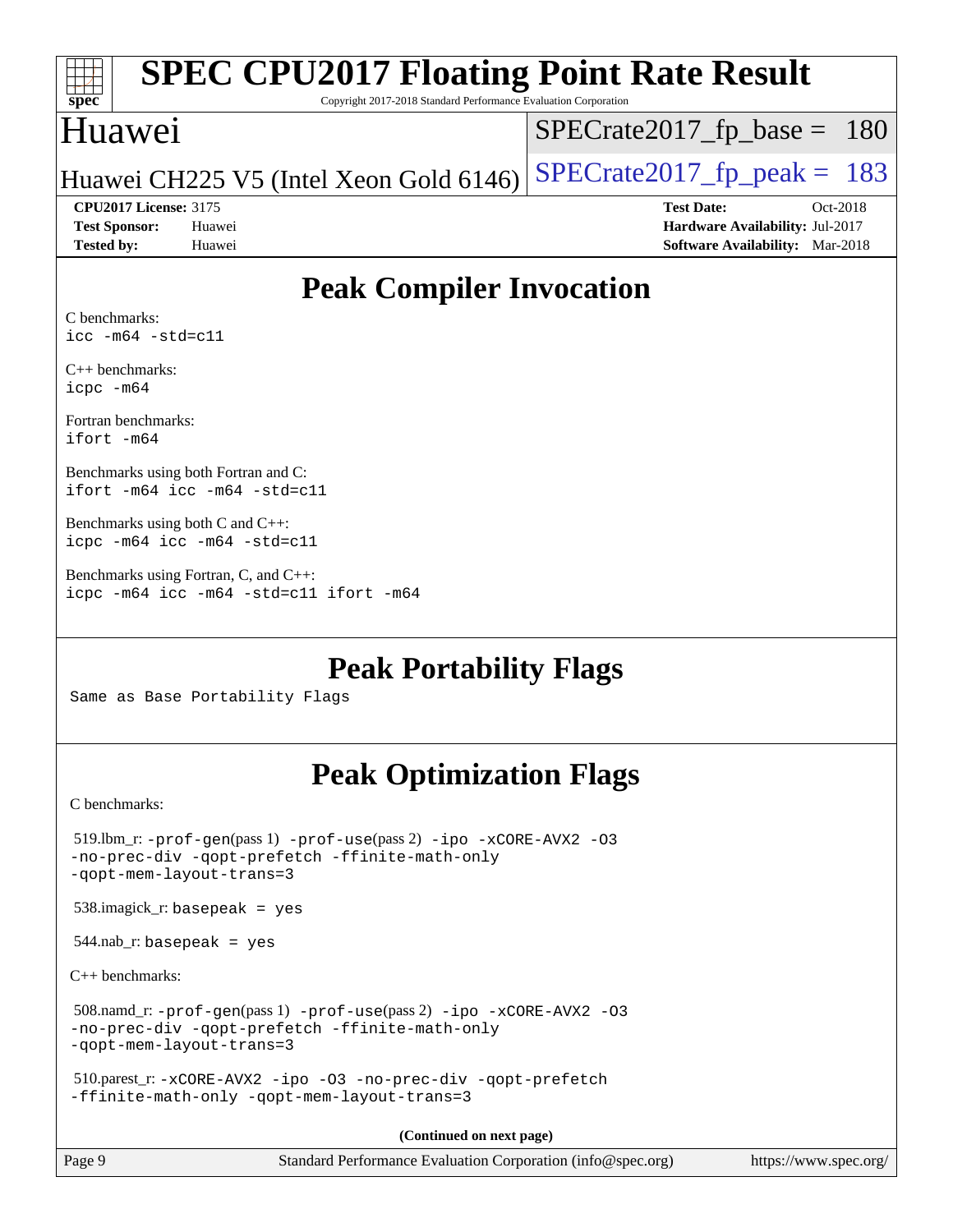|                              | <b>SPEC CPU2017 Floating Point Rate Result</b>                  |                                        |  |  |  |  |
|------------------------------|-----------------------------------------------------------------|----------------------------------------|--|--|--|--|
| $spec*$                      | Copyright 2017-2018 Standard Performance Evaluation Corporation |                                        |  |  |  |  |
| Huawei                       |                                                                 | $SPECrate2017_fp\_base = 180$          |  |  |  |  |
|                              | Huawei CH225 V5 (Intel Xeon Gold 6146)                          | $SPECrate2017_fp\_peak = 183$          |  |  |  |  |
| <b>CPU2017 License: 3175</b> |                                                                 | <b>Test Date:</b><br>$Oct-2018$        |  |  |  |  |
| <b>Test Sponsor:</b>         | Huawei                                                          | Hardware Availability: Jul-2017        |  |  |  |  |
| <b>Tested by:</b>            | Huawei                                                          | <b>Software Availability:</b> Mar-2018 |  |  |  |  |
|                              |                                                                 |                                        |  |  |  |  |

## **[Peak Compiler Invocation](http://www.spec.org/auto/cpu2017/Docs/result-fields.html#PeakCompilerInvocation)**

[C benchmarks:](http://www.spec.org/auto/cpu2017/Docs/result-fields.html#Cbenchmarks) [icc -m64 -std=c11](http://www.spec.org/cpu2017/results/res2018q4/cpu2017-20181018-09267.flags.html#user_CCpeak_intel_icc_64bit_c11_33ee0cdaae7deeeab2a9725423ba97205ce30f63b9926c2519791662299b76a0318f32ddfffdc46587804de3178b4f9328c46fa7c2b0cd779d7a61945c91cd35)

[C++ benchmarks:](http://www.spec.org/auto/cpu2017/Docs/result-fields.html#CXXbenchmarks) [icpc -m64](http://www.spec.org/cpu2017/results/res2018q4/cpu2017-20181018-09267.flags.html#user_CXXpeak_intel_icpc_64bit_4ecb2543ae3f1412ef961e0650ca070fec7b7afdcd6ed48761b84423119d1bf6bdf5cad15b44d48e7256388bc77273b966e5eb805aefd121eb22e9299b2ec9d9)

[Fortran benchmarks](http://www.spec.org/auto/cpu2017/Docs/result-fields.html#Fortranbenchmarks): [ifort -m64](http://www.spec.org/cpu2017/results/res2018q4/cpu2017-20181018-09267.flags.html#user_FCpeak_intel_ifort_64bit_24f2bb282fbaeffd6157abe4f878425411749daecae9a33200eee2bee2fe76f3b89351d69a8130dd5949958ce389cf37ff59a95e7a40d588e8d3a57e0c3fd751)

[Benchmarks using both Fortran and C:](http://www.spec.org/auto/cpu2017/Docs/result-fields.html#BenchmarksusingbothFortranandC) [ifort -m64](http://www.spec.org/cpu2017/results/res2018q4/cpu2017-20181018-09267.flags.html#user_CC_FCpeak_intel_ifort_64bit_24f2bb282fbaeffd6157abe4f878425411749daecae9a33200eee2bee2fe76f3b89351d69a8130dd5949958ce389cf37ff59a95e7a40d588e8d3a57e0c3fd751) [icc -m64 -std=c11](http://www.spec.org/cpu2017/results/res2018q4/cpu2017-20181018-09267.flags.html#user_CC_FCpeak_intel_icc_64bit_c11_33ee0cdaae7deeeab2a9725423ba97205ce30f63b9926c2519791662299b76a0318f32ddfffdc46587804de3178b4f9328c46fa7c2b0cd779d7a61945c91cd35)

[Benchmarks using both C and C++](http://www.spec.org/auto/cpu2017/Docs/result-fields.html#BenchmarksusingbothCandCXX): [icpc -m64](http://www.spec.org/cpu2017/results/res2018q4/cpu2017-20181018-09267.flags.html#user_CC_CXXpeak_intel_icpc_64bit_4ecb2543ae3f1412ef961e0650ca070fec7b7afdcd6ed48761b84423119d1bf6bdf5cad15b44d48e7256388bc77273b966e5eb805aefd121eb22e9299b2ec9d9) [icc -m64 -std=c11](http://www.spec.org/cpu2017/results/res2018q4/cpu2017-20181018-09267.flags.html#user_CC_CXXpeak_intel_icc_64bit_c11_33ee0cdaae7deeeab2a9725423ba97205ce30f63b9926c2519791662299b76a0318f32ddfffdc46587804de3178b4f9328c46fa7c2b0cd779d7a61945c91cd35)

[Benchmarks using Fortran, C, and C++:](http://www.spec.org/auto/cpu2017/Docs/result-fields.html#BenchmarksusingFortranCandCXX) [icpc -m64](http://www.spec.org/cpu2017/results/res2018q4/cpu2017-20181018-09267.flags.html#user_CC_CXX_FCpeak_intel_icpc_64bit_4ecb2543ae3f1412ef961e0650ca070fec7b7afdcd6ed48761b84423119d1bf6bdf5cad15b44d48e7256388bc77273b966e5eb805aefd121eb22e9299b2ec9d9) [icc -m64 -std=c11](http://www.spec.org/cpu2017/results/res2018q4/cpu2017-20181018-09267.flags.html#user_CC_CXX_FCpeak_intel_icc_64bit_c11_33ee0cdaae7deeeab2a9725423ba97205ce30f63b9926c2519791662299b76a0318f32ddfffdc46587804de3178b4f9328c46fa7c2b0cd779d7a61945c91cd35) [ifort -m64](http://www.spec.org/cpu2017/results/res2018q4/cpu2017-20181018-09267.flags.html#user_CC_CXX_FCpeak_intel_ifort_64bit_24f2bb282fbaeffd6157abe4f878425411749daecae9a33200eee2bee2fe76f3b89351d69a8130dd5949958ce389cf37ff59a95e7a40d588e8d3a57e0c3fd751)

**[Peak Portability Flags](http://www.spec.org/auto/cpu2017/Docs/result-fields.html#PeakPortabilityFlags)**

Same as Base Portability Flags

## **[Peak Optimization Flags](http://www.spec.org/auto/cpu2017/Docs/result-fields.html#PeakOptimizationFlags)**

[C benchmarks](http://www.spec.org/auto/cpu2017/Docs/result-fields.html#Cbenchmarks):

| Page 9                                 | Standard Performance Evaluation Corporation (info@spec.org)                                                              | https://www.spec.org/ |
|----------------------------------------|--------------------------------------------------------------------------------------------------------------------------|-----------------------|
|                                        | (Continued on next page)                                                                                                 |                       |
|                                        | 510.parest_r: -xCORE-AVX2 -ipo -03 -no-prec-div -qopt-prefetch<br>-ffinite-math-only -qopt-mem-layout-trans=3            |                       |
| -qopt-mem-layout-trans=3               | 508.namd_r: -prof-gen(pass 1) -prof-use(pass 2) -ipo -xCORE-AVX2 -03<br>-no-prec-div -qopt-prefetch -ffinite-math-only   |                       |
| $C_{++}$ benchmarks:                   |                                                                                                                          |                       |
| $544$ .nab_r: basepeak = yes           |                                                                                                                          |                       |
| $538.\text{imagek}_r$ : basepeak = yes |                                                                                                                          |                       |
| -qopt-mem-layout-trans=3               | $519$ .lbm_r: -prof-gen(pass 1) -prof-use(pass 2) -ipo -xCORE-AVX2 -03<br>-no-prec-div -qopt-prefetch -ffinite-math-only |                       |
| U DELICIHITATKS:                       |                                                                                                                          |                       |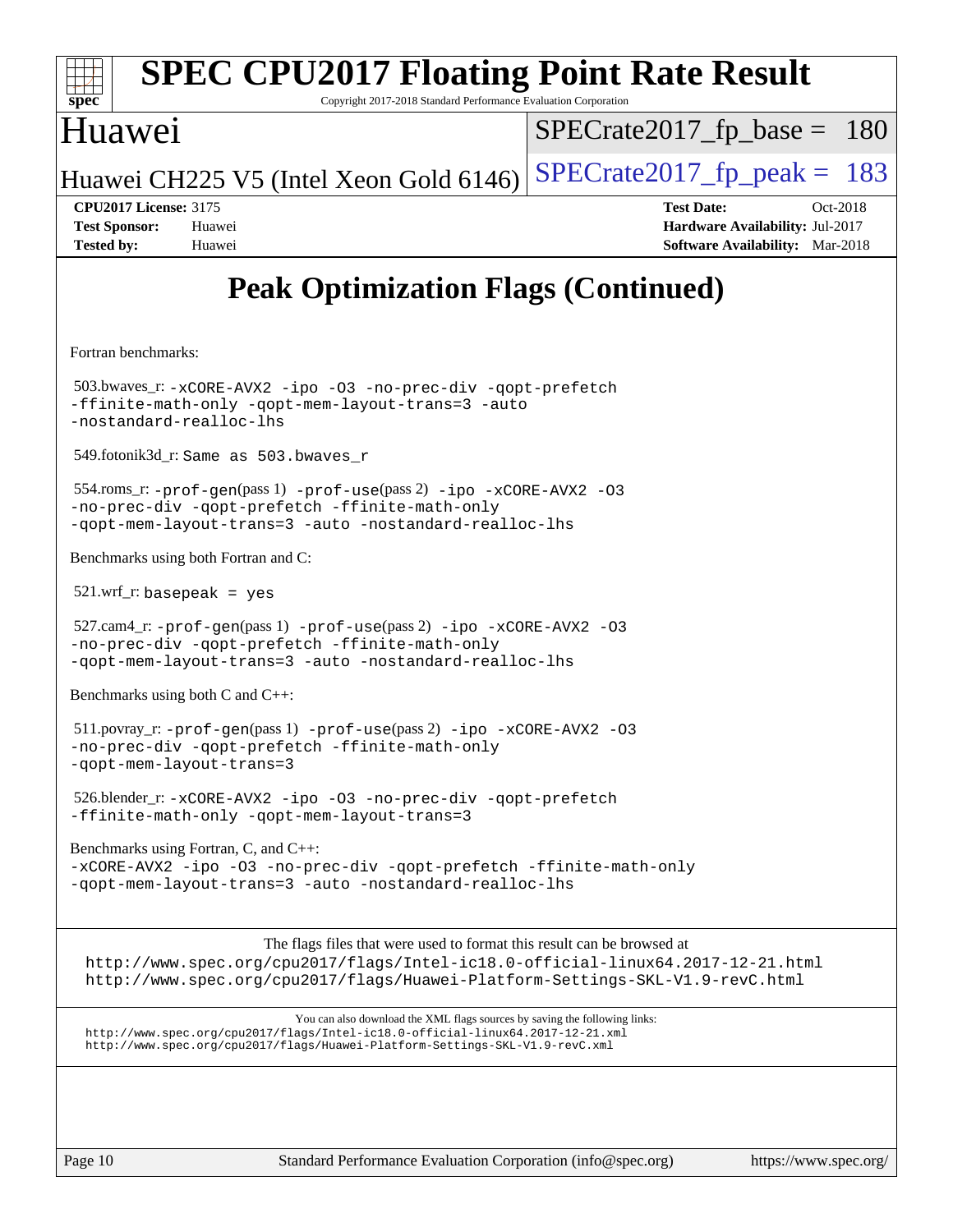